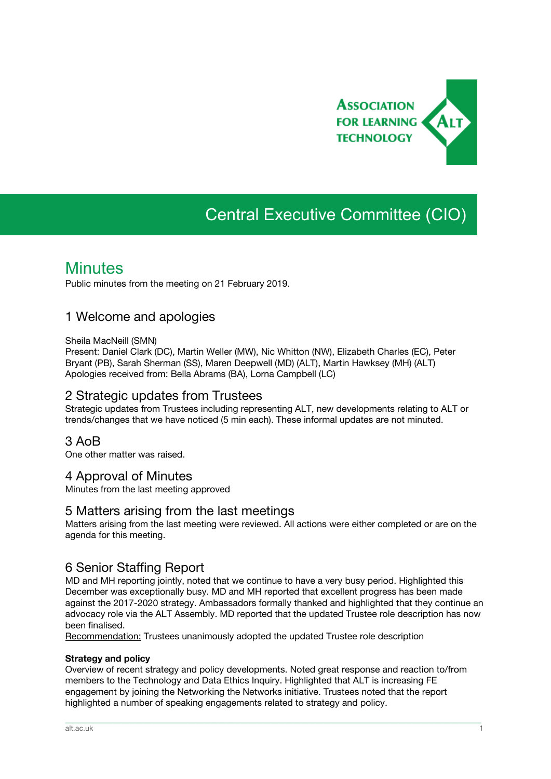

# Central Executive Committee (CIO)

## **Minutes**

Public minutes from the meeting on 21 February 2019.

## 1 Welcome and apologies

#### Sheila MacNeill (SMN)

Present: Daniel Clark (DC), Martin Weller (MW), Nic Whitton (NW), Elizabeth Charles (EC), Peter Bryant (PB), Sarah Sherman (SS), Maren Deepwell (MD) (ALT), Martin Hawksey (MH) (ALT) Apologies received from: Bella Abrams (BA), Lorna Campbell (LC)

## 2 Strategic updates from Trustees

Strategic updates from Trustees including representing ALT, new developments relating to ALT or trends/changes that we have noticed (5 min each). These informal updates are not minuted.

## 3 AoB

One other matter was raised.

## 4 Approval of Minutes

Minutes from the last meeting approved

## 5 Matters arising from the last meetings

Matters arising from the last meeting were reviewed. All actions were either completed or are on the agenda for this meeting.

## 6 Senior Staffing Report

MD and MH reporting jointly, noted that we continue to have a very busy period. Highlighted this December was exceptionally busy. MD and MH reported that excellent progress has been made against the 2017-2020 strategy. Ambassadors formally thanked and highlighted that they continue an advocacy role via the ALT Assembly. MD reported that the updated Trustee role description has now been finalised.

Recommendation: Trustees unanimously adopted the updated Trustee role description

#### **Strategy and policy**

Overview of recent strategy and policy developments. Noted great response and reaction to/from members to the Technology and Data Ethics Inquiry. Highlighted that ALT is increasing FE engagement by joining the Networking the Networks initiative. Trustees noted that the report highlighted a number of speaking engagements related to strategy and policy.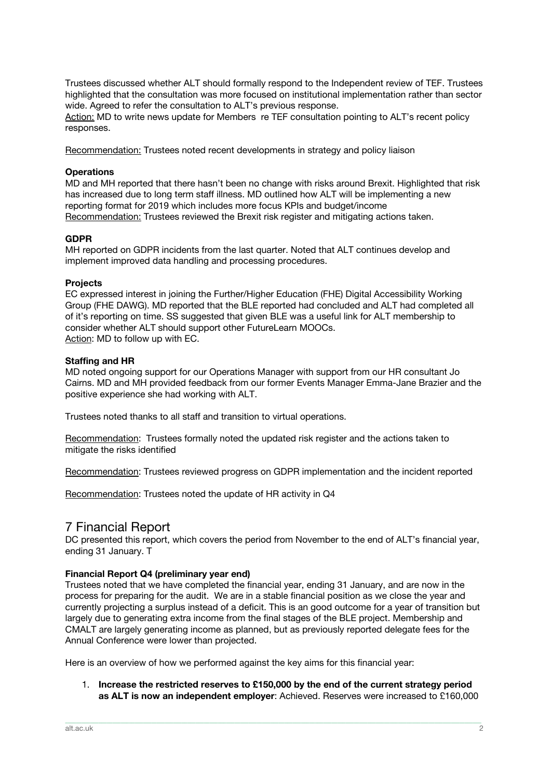Trustees discussed whether ALT should formally respond to the Independent review of TEF. Trustees highlighted that the consultation was more focused on institutional implementation rather than sector wide. Agreed to refer the consultation to ALT's previous response.

Action: MD to write news update for Members re TEF consultation pointing to ALT's recent policy responses.

Recommendation: Trustees noted recent developments in strategy and policy liaison

#### **Operations**

MD and MH reported that there hasn't been no change with risks around Brexit. Highlighted that risk has increased due to long term staff illness. MD outlined how ALT will be implementing a new reporting format for 2019 which includes more focus KPIs and budget/income Recommendation: Trustees reviewed the Brexit risk register and mitigating actions taken.

#### **GDPR**

MH reported on GDPR incidents from the last quarter. Noted that ALT continues develop and implement improved data handling and processing procedures.

#### **Projects**

EC expressed interest in joining the Further/Higher Education (FHE) Digital Accessibility Working Group (FHE DAWG). MD reported that the BLE reported had concluded and ALT had completed all of it's reporting on time. SS suggested that given BLE was a useful link for ALT membership to consider whether ALT should support other FutureLearn MOOCs. Action: MD to follow up with EC.

#### **Staffing and HR**

MD noted ongoing support for our Operations Manager with support from our HR consultant Jo Cairns. MD and MH provided feedback from our former Events Manager Emma-Jane Brazier and the positive experience she had working with ALT.

Trustees noted thanks to all staff and transition to virtual operations.

Recommendation: Trustees formally noted the updated risk register and the actions taken to mitigate the risks identified

Recommendation: Trustees reviewed progress on GDPR implementation and the incident reported

Recommendation: Trustees noted the update of HR activity in Q4

## 7 Financial Report

DC presented this report, which covers the period from November to the end of ALT's financial year, ending 31 January. T

#### **Financial Report Q4 (preliminary year end)**

Trustees noted that we have completed the financial year, ending 31 January, and are now in the process for preparing for the audit. We are in a stable financial position as we close the year and currently projecting a surplus instead of a deficit. This is an good outcome for a year of transition but largely due to generating extra income from the final stages of the BLE project. Membership and CMALT are largely generating income as planned, but as previously reported delegate fees for the Annual Conference were lower than projected.

Here is an overview of how we performed against the key aims for this financial year:

1. **Increase the restricted reserves to £150,000 by the end of the current strategy period as ALT is now an independent employer**: Achieved. Reserves were increased to £160,000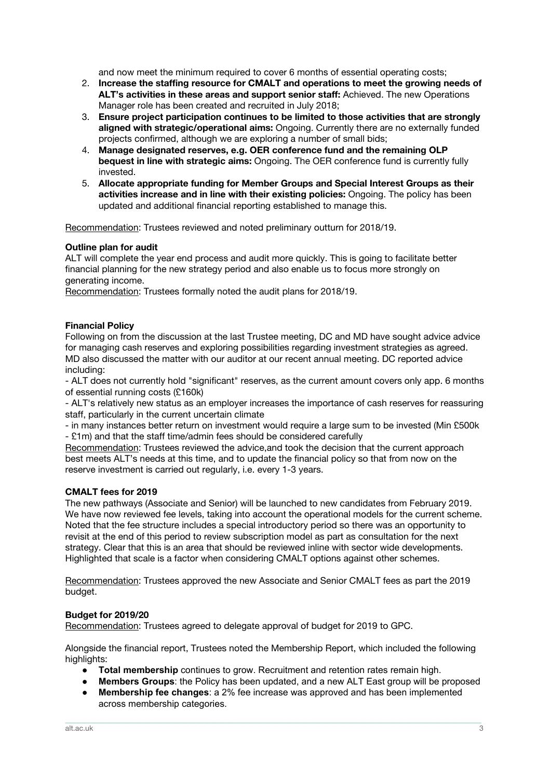and now meet the minimum required to cover 6 months of essential operating costs;

- 2. **Increase the staffing resource for CMALT and operations to meet the growing needs of ALT's activities in these areas and support senior staff:** Achieved. The new Operations Manager role has been created and recruited in July 2018;
- 3. **Ensure project participation continues to be limited to those activities that are strongly aligned with strategic/operational aims:** Ongoing. Currently there are no externally funded projects confirmed, although we are exploring a number of small bids;
- 4. **Manage designated reserves, e.g. OER conference fund and the remaining OLP bequest in line with strategic aims:** Ongoing. The OER conference fund is currently fully invested.
- 5. **Allocate appropriate funding for Member Groups and Special Interest Groups as their activities increase and in line with their existing policies:** Ongoing. The policy has been updated and additional financial reporting established to manage this.

Recommendation: Trustees reviewed and noted preliminary outturn for 2018/19.

#### **Outline plan for audit**

ALT will complete the year end process and audit more quickly. This is going to facilitate better financial planning for the new strategy period and also enable us to focus more strongly on generating income.

Recommendation: Trustees formally noted the audit plans for 2018/19.

#### **Financial Policy**

Following on from the discussion at the last Trustee meeting, DC and MD have sought advice advice for managing cash reserves and exploring possibilities regarding investment strategies as agreed. MD also discussed the matter with our auditor at our recent annual meeting. DC reported advice including:

- ALT does not currently hold "significant" reserves, as the current amount covers only app. 6 months of essential running costs (£160k)

- ALT's relatively new status as an employer increases the importance of cash reserves for reassuring staff, particularly in the current uncertain climate

- in many instances better return on investment would require a large sum to be invested (Min £500k - £1m) and that the staff time/admin fees should be considered carefully

Recommendation: Trustees reviewed the advice,and took the decision that the current approach best meets ALT's needs at this time, and to update the financial policy so that from now on the reserve investment is carried out regularly, i.e. every 1-3 years.

#### **CMALT fees for 2019**

The new pathways (Associate and Senior) will be launched to new candidates from February 2019. We have now reviewed fee levels, taking into account the operational models for the current scheme. Noted that the fee structure includes a special introductory period so there was an opportunity to revisit at the end of this period to review subscription model as part as consultation for the next strategy. Clear that this is an area that should be reviewed inline with sector wide developments. Highlighted that scale is a factor when considering CMALT options against other schemes.

Recommendation: Trustees approved the new Associate and Senior CMALT fees as part the 2019 budget.

#### **Budget for 2019/20**

Recommendation: Trustees agreed to delegate approval of budget for 2019 to GPC.

Alongside the financial report, Trustees noted the Membership Report, which included the following highlights:

- **Total membership** continues to grow. Recruitment and retention rates remain high.
- **Members Groups**: the Policy has been updated, and a new ALT East group will be proposed
- **Membership fee changes**: a 2% fee increase was approved and has been implemented across membership categories.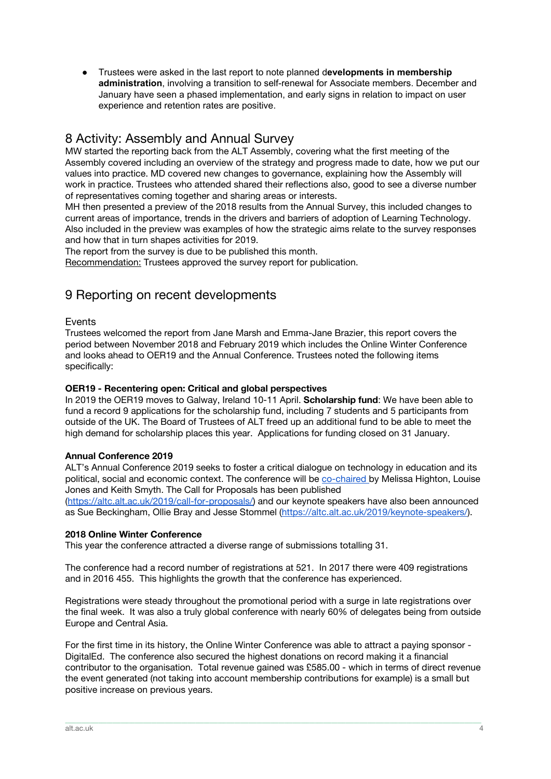● Trustees were asked in the last report to note planned d**evelopments in membership administration**, involving a transition to self-renewal for Associate members. December and January have seen a phased implementation, and early signs in relation to impact on user experience and retention rates are positive.

## 8 Activity: Assembly and Annual Survey

MW started the reporting back from the ALT Assembly, covering what the first meeting of the Assembly covered including an overview of the strategy and progress made to date, how we put our values into practice. MD covered new changes to governance, explaining how the Assembly will work in practice. Trustees who attended shared their reflections also, good to see a diverse number of representatives coming together and sharing areas or interests.

MH then presented a preview of the 2018 results from the Annual Survey, this included changes to current areas of importance, trends in the drivers and barriers of adoption of Learning Technology. Also included in the preview was examples of how the strategic aims relate to the survey responses and how that in turn shapes activities for 2019.

The report from the survey is due to be published this month.

Recommendation: Trustees approved the survey report for publication.

## 9 Reporting on recent developments

#### Events

Trustees welcomed the report from Jane Marsh and Emma-Jane Brazier, this report covers the period between November 2018 and February 2019 which includes the Online Winter Conference and looks ahead to OER19 and the Annual Conference. Trustees noted the following items specifically:

#### **OER19 - Recentering open: Critical and global perspectives**

In 2019 the OER19 moves to Galway, Ireland 10-11 April. **Scholarship fund**: We have been able to fund a record 9 applications for the scholarship fund, including 7 students and 5 participants from outside of the UK. The Board of Trustees of ALT freed up an additional fund to be able to meet the high demand for scholarship places this year. Applications for funding closed on 31 January.

#### **Annual Conference 2019**

ALT's Annual Conference 2019 seeks to foster a critical dialogue on technology in education and its political, social and economic context. The conference will be [co-chaired](https://altc.alt.ac.uk/2019/meet-the-co-chairs/) by Melissa Highton, Louise Jones and Keith Smyth. The Call for Proposals has been published ([https://altc.alt.ac.uk/2019/call-for-proposals/\)](https://altc.alt.ac.uk/2019/call-for-proposals/) and our keynote speakers have also been announced as Sue Beckingham, Ollie Bray and Jesse Stommel ([https://altc.alt.ac.uk/2019/keynote-speakers/\)](https://altc.alt.ac.uk/2019/keynote-speakers/).

#### **2018 Online Winter Conference**

This year the conference attracted a diverse range of submissions totalling 31.

The conference had a record number of registrations at 521. In 2017 there were 409 registrations and in 2016 455. This highlights the growth that the conference has experienced.

Registrations were steady throughout the promotional period with a surge in late registrations over the final week. It was also a truly global conference with nearly 60% of delegates being from outside Europe and Central Asia.

For the first time in its history, the Online Winter Conference was able to attract a paying sponsor - DigitalEd. The conference also secured the highest donations on record making it a financial contributor to the organisation. Total revenue gained was £585.00 - which in terms of direct revenue the event generated (not taking into account membership contributions for example) is a small but positive increase on previous years.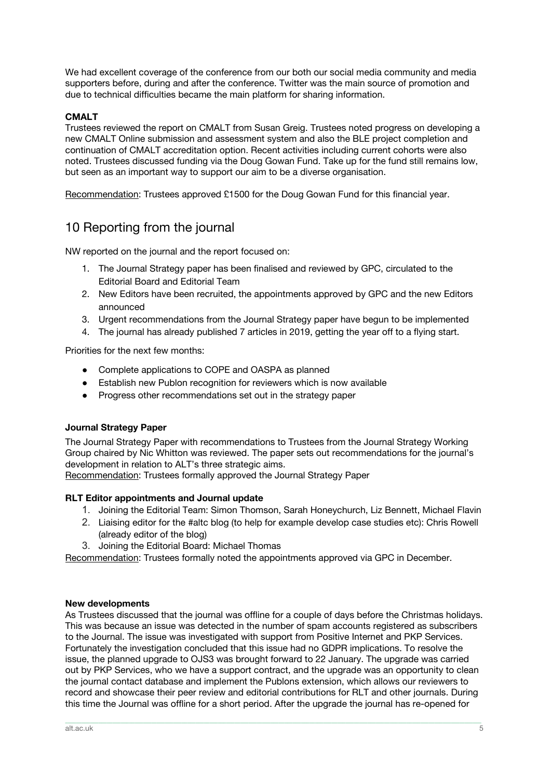We had excellent coverage of the conference from our both our social media community and media supporters before, during and after the conference. Twitter was the main source of promotion and due to technical difficulties became the main platform for sharing information.

#### **CMALT**

Trustees reviewed the report on CMALT from Susan Greig. Trustees noted progress on developing a new CMALT Online submission and assessment system and also the BLE project completion and continuation of CMALT accreditation option. Recent activities including current cohorts were also noted. Trustees discussed funding via the Doug Gowan Fund. Take up for the fund still remains low, but seen as an important way to support our aim to be a diverse organisation.

Recommendation: Trustees approved £1500 for the Doug Gowan Fund for this financial year.

## 10 Reporting from the journal

NW reported on the journal and the report focused on:

- 1. The Journal Strategy paper has been finalised and reviewed by GPC, circulated to the Editorial Board and Editorial Team
- 2. New Editors have been recruited, the appointments approved by GPC and the new Editors announced
- 3. Urgent recommendations from the Journal Strategy paper have begun to be implemented
- 4. The journal has already published 7 articles in 2019, getting the year off to a flying start.

Priorities for the next few months:

- Complete applications to COPE and OASPA as planned
- Establish new Publon recognition for reviewers which is now available
- Progress other recommendations set out in the strategy paper

#### **Journal Strategy Paper**

The Journal Strategy Paper with recommendations to Trustees from the Journal Strategy Working Group chaired by Nic Whitton was reviewed. The paper sets out recommendations for the journal's development in relation to ALT's three strategic aims.

Recommendation: Trustees formally approved the Journal Strategy Paper

#### **RLT Editor appointments and Journal update**

- 1. Joining the Editorial Team: Simon Thomson, Sarah Honeychurch, Liz Bennett, Michael Flavin
- 2. Liaising editor for the #altc blog (to help for example develop case studies etc): Chris Rowell (already editor of the blog)
- 3. Joining the Editorial Board: Michael Thomas

Recommendation: Trustees formally noted the appointments approved via GPC in December.

#### **New developments**

As Trustees discussed that the journal was offline for a couple of days before the Christmas holidays. This was because an issue was detected in the number of spam accounts registered as subscribers to the Journal. The issue was investigated with support from Positive Internet and PKP Services. Fortunately the investigation concluded that this issue had no GDPR implications. To resolve the issue, the planned upgrade to OJS3 was brought forward to 22 January. The upgrade was carried out by PKP Services, who we have a support contract, and the upgrade was an opportunity to clean the journal contact database and implement the Publons extension, which allows our reviewers to record and showcase their peer review and editorial contributions for RLT and other journals. During this time the Journal was offline for a short period. After the upgrade the journal has re-opened for